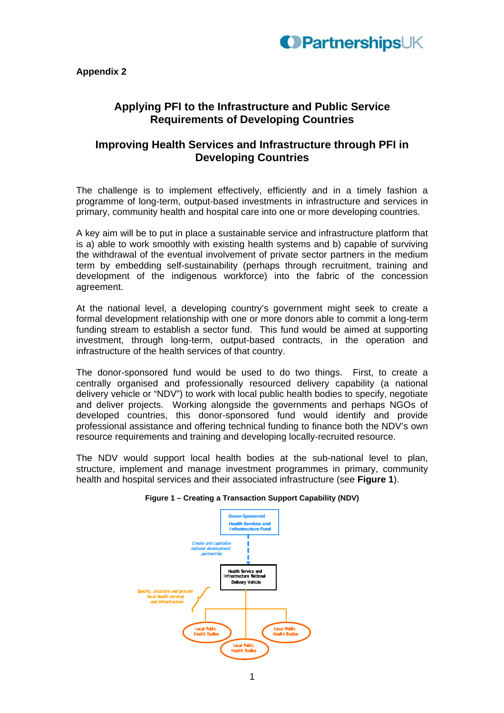

# **Applying PFI to the Infrastructure and Public Service Requirements of Developing Countries**

## **Improving Health Services and Infrastructure through PFI in Developing Countries**

The challenge is to implement effectively, efficiently and in a timely fashion a programme of long-term, output-based investments in infrastructure and services in primary, community health and hospital care into one or more developing countries.

A key aim will be to put in place a sustainable service and infrastructure platform that is a) able to work smoothly with existing health systems and b) capable of surviving the withdrawal of the eventual involvement of private sector partners in the medium term by embedding self-sustainability (perhaps through recruitment, training and development of the indigenous workforce) into the fabric of the concession agreement.

At the national level, a developing country's government might seek to create a formal development relationship with one or more donors able to commit a long-term funding stream to establish a sector fund. This fund would be aimed at supporting investment, through long-term, output-based contracts, in the operation and infrastructure of the health services of that country.

The donor-sponsored fund would be used to do two things. First, to create a centrally organised and professionally resourced delivery capability (a national delivery vehicle or "NDV") to work with local public health bodies to specify, negotiate and deliver projects. Working alongside the governments and perhaps NGOs of developed countries, this donor-sponsored fund would identify and provide professional assistance and offering technical funding to finance both the NDV's own resource requirements and training and developing locally-recruited resource.

The NDV would support local health bodies at the sub-national level to plan, structure, implement and manage investment programmes in primary, community health and hospital services and their associated infrastructure (see **Figure 1**).



#### **Figure 1 – Creating a Transaction Support Capability (NDV)**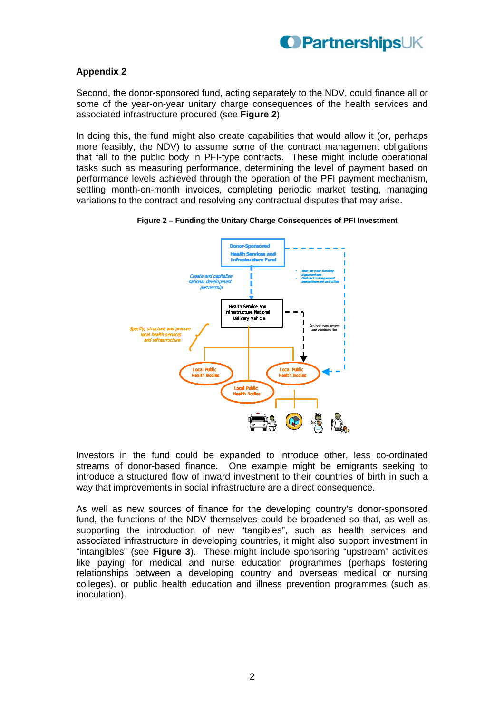

Second, the donor-sponsored fund, acting separately to the NDV, could finance all or some of the year-on-year unitary charge consequences of the health services and associated infrastructure procured (see **Figure 2**).

In doing this, the fund might also create capabilities that would allow it (or, perhaps more feasibly, the NDV) to assume some of the contract management obligations that fall to the public body in PFI-type contracts. These might include operational tasks such as measuring performance, determining the level of payment based on performance levels achieved through the operation of the PFI payment mechanism, settling month-on-month invoices, completing periodic market testing, managing variations to the contract and resolving any contractual disputes that may arise.



#### **Figure 2 – Funding the Unitary Charge Consequences of PFI Investment**

Investors in the fund could be expanded to introduce other, less co-ordinated streams of donor-based finance. One example might be emigrants seeking to introduce a structured flow of inward investment to their countries of birth in such a way that improvements in social infrastructure are a direct consequence.

As well as new sources of finance for the developing country's donor-sponsored fund, the functions of the NDV themselves could be broadened so that, as well as supporting the introduction of new "tangibles", such as health services and associated infrastructure in developing countries, it might also support investment in "intangibles" (see **Figure 3**). These might include sponsoring "upstream" activities like paying for medical and nurse education programmes (perhaps fostering relationships between a developing country and overseas medical or nursing colleges), or public health education and illness prevention programmes (such as inoculation).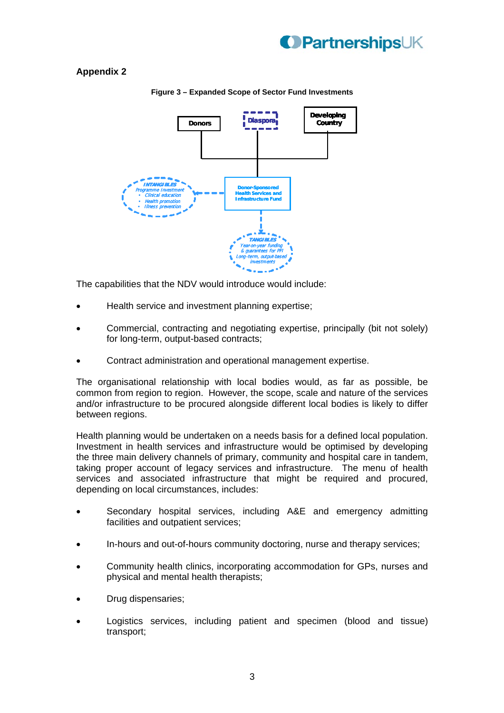



**Figure 3 – Expanded Scope of Sector Fund Investments** 

The capabilities that the NDV would introduce would include:

- Health service and investment planning expertise;
- Commercial, contracting and negotiating expertise, principally (bit not solely) for long-term, output-based contracts;
- Contract administration and operational management expertise.

The organisational relationship with local bodies would, as far as possible, be common from region to region. However, the scope, scale and nature of the services and/or infrastructure to be procured alongside different local bodies is likely to differ between regions.

Health planning would be undertaken on a needs basis for a defined local population. Investment in health services and infrastructure would be optimised by developing the three main delivery channels of primary, community and hospital care in tandem, taking proper account of legacy services and infrastructure. The menu of health services and associated infrastructure that might be required and procured, depending on local circumstances, includes:

- Secondary hospital services, including A&E and emergency admitting facilities and outpatient services;
- In-hours and out-of-hours community doctoring, nurse and therapy services;
- Community health clinics, incorporating accommodation for GPs, nurses and physical and mental health therapists;
- Drug dispensaries;
- Logistics services, including patient and specimen (blood and tissue) transport;